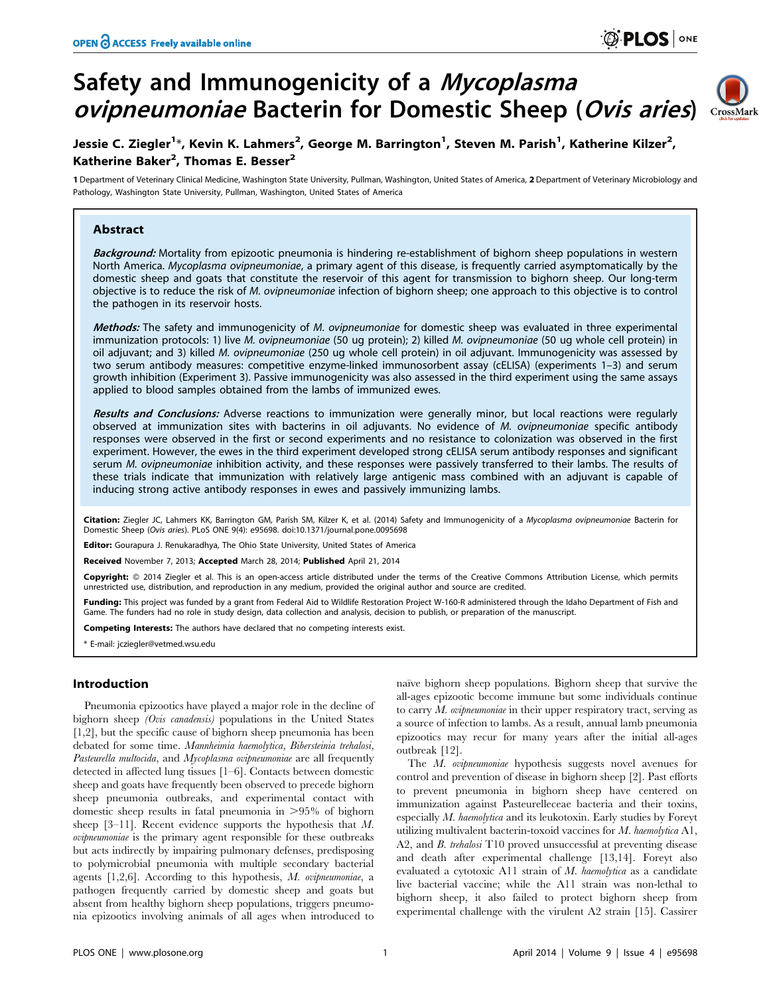# Safety and Immunogenicity of a Mycoplasma ovipneumoniae Bacterin for Domestic Sheep (Ovis aries)



# Jessie C. Ziegler<sup>1</sup>\*, Kevin K. Lahmers<sup>2</sup>, George M. Barrington<sup>1</sup>, Steven M. Parish<sup>1</sup>, Katherine Kilzer<sup>2</sup>, Katherine Baker<sup>2</sup>, Thomas E. Besser<sup>2</sup>

1 Department of Veterinary Clinical Medicine, Washington State University, Pullman, Washington, United States of America, 2 Department of Veterinary Microbiology and Pathology, Washington State University, Pullman, Washington, United States of America

# Abstract

Background: Mortality from epizootic pneumonia is hindering re-establishment of bighorn sheep populations in western North America. Mycoplasma ovipneumoniae, a primary agent of this disease, is frequently carried asymptomatically by the domestic sheep and goats that constitute the reservoir of this agent for transmission to bighorn sheep. Our long-term objective is to reduce the risk of M. ovipneumoniae infection of bighorn sheep; one approach to this objective is to control the pathogen in its reservoir hosts.

Methods: The safety and immunogenicity of M. ovipneumoniae for domestic sheep was evaluated in three experimental immunization protocols: 1) live M. ovipneumoniae (50 ug protein); 2) killed M. ovipneumoniae (50 ug whole cell protein) in oil adjuvant; and 3) killed M. ovipneumoniae (250 ug whole cell protein) in oil adjuvant. Immunogenicity was assessed by two serum antibody measures: competitive enzyme-linked immunosorbent assay (cELISA) (experiments 1–3) and serum growth inhibition (Experiment 3). Passive immunogenicity was also assessed in the third experiment using the same assays applied to blood samples obtained from the lambs of immunized ewes.

Results and Conclusions: Adverse reactions to immunization were generally minor, but local reactions were regularly observed at immunization sites with bacterins in oil adjuvants. No evidence of M. ovipneumoniae specific antibody responses were observed in the first or second experiments and no resistance to colonization was observed in the first experiment. However, the ewes in the third experiment developed strong cELISA serum antibody responses and significant serum M. ovipneumoniae inhibition activity, and these responses were passively transferred to their lambs. The results of these trials indicate that immunization with relatively large antigenic mass combined with an adjuvant is capable of inducing strong active antibody responses in ewes and passively immunizing lambs.

Citation: Ziegler JC, Lahmers KK, Barrington GM, Parish SM, Kilzer K, et al. (2014) Safety and Immunogenicity of a Mycoplasma ovipneumoniae Bacterin for Domestic Sheep (Ovis aries). PLoS ONE 9(4): e95698. doi:10.1371/journal.pone.0095698

Editor: Gourapura J. Renukaradhya, The Ohio State University, United States of America

Received November 7, 2013; Accepted March 28, 2014; Published April 21, 2014

Copyright: © 2014 Ziegler et al. This is an open-access article distributed under the terms of the [Creative Commons Attribution License](http://creativecommons.org/licenses/by/4.0/), which permits unrestricted use, distribution, and reproduction in any medium, provided the original author and source are credited.

Funding: This project was funded by a grant from Federal Aid to Wildlife Restoration Project W-160-R administered through the Idaho Department of Fish and Game. The funders had no role in study design, data collection and analysis, decision to publish, or preparation of the manuscript.

Competing Interests: The authors have declared that no competing interests exist.

\* E-mail: jcziegler@vetmed.wsu.edu

# Introduction

Pneumonia epizootics have played a major role in the decline of bighorn sheep (Ovis canadensis) populations in the United States [1,2], but the specific cause of bighorn sheep pneumonia has been debated for some time. Mannheimia haemolytica, Bibersteinia trehalosi, Pasteurella multocida, and Mycoplasma ovipneumoniae are all frequently detected in affected lung tissues [1–6]. Contacts between domestic sheep and goats have frequently been observed to precede bighorn sheep pneumonia outbreaks, and experimental contact with domestic sheep results in fatal pneumonia in  $>95\%$  of bighorn sheep [3–11]. Recent evidence supports the hypothesis that M. ovipneumoniae is the primary agent responsible for these outbreaks but acts indirectly by impairing pulmonary defenses, predisposing to polymicrobial pneumonia with multiple secondary bacterial agents  $[1,2,6]$ . According to this hypothesis, M. ovipneumoniae, a pathogen frequently carried by domestic sheep and goats but absent from healthy bighorn sheep populations, triggers pneumonia epizootics involving animals of all ages when introduced to

naïve bighorn sheep populations. Bighorn sheep that survive the all-ages epizootic become immune but some individuals continue to carry  $M$ , *ovipneumoniae* in their upper respiratory tract, serving as a source of infection to lambs. As a result, annual lamb pneumonia epizootics may recur for many years after the initial all-ages outbreak [12].

The M. ovipneumoniae hypothesis suggests novel avenues for control and prevention of disease in bighorn sheep [2]. Past efforts to prevent pneumonia in bighorn sheep have centered on immunization against Pasteurelleceae bacteria and their toxins, especially M. haemolytica and its leukotoxin. Early studies by Foreyt utilizing multivalent bacterin-toxoid vaccines for M. haemolytica A1, A2, and *B. trehalosi* T10 proved unsuccessful at preventing disease and death after experimental challenge [13,14]. Foreyt also evaluated a cytotoxic A11 strain of M. haemolytica as a candidate live bacterial vaccine; while the A11 strain was non-lethal to bighorn sheep, it also failed to protect bighorn sheep from experimental challenge with the virulent A2 strain [15]. Cassirer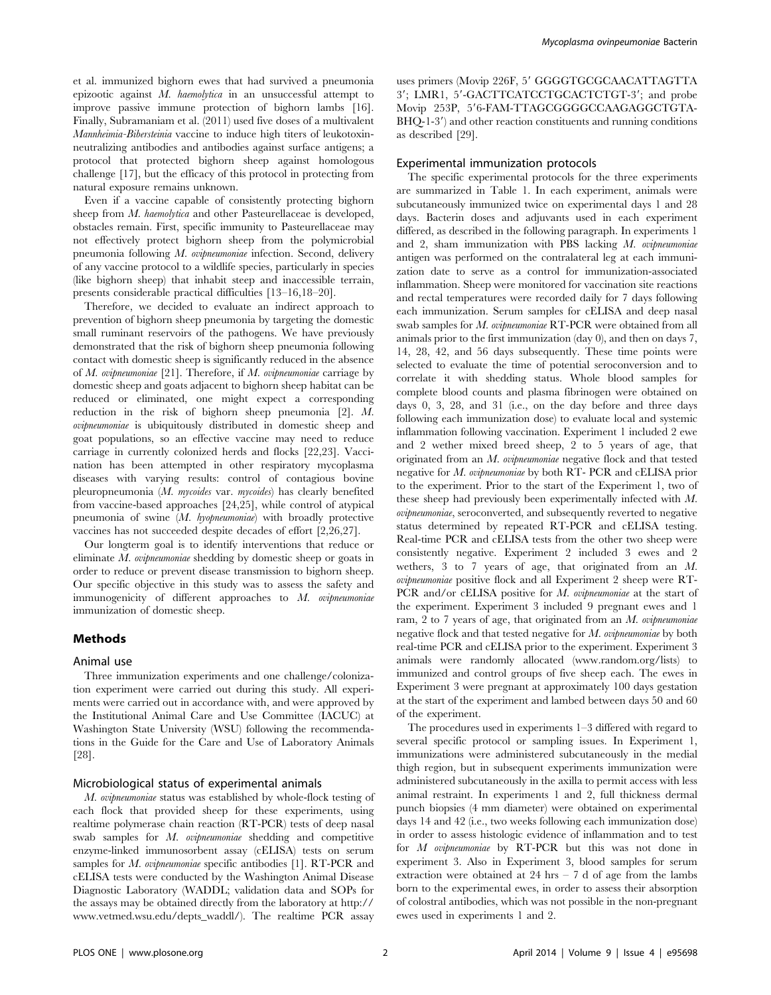et al. immunized bighorn ewes that had survived a pneumonia epizootic against M. haemolytica in an unsuccessful attempt to improve passive immune protection of bighorn lambs [16]. Finally, Subramaniam et al. (2011) used five doses of a multivalent Mannheimia-Bibersteinia vaccine to induce high titers of leukotoxinneutralizing antibodies and antibodies against surface antigens; a protocol that protected bighorn sheep against homologous challenge [17], but the efficacy of this protocol in protecting from natural exposure remains unknown.

Even if a vaccine capable of consistently protecting bighorn sheep from *M. haemolytica* and other Pasteurellaceae is developed, obstacles remain. First, specific immunity to Pasteurellaceae may not effectively protect bighorn sheep from the polymicrobial pneumonia following M. ovipneumoniae infection. Second, delivery of any vaccine protocol to a wildlife species, particularly in species (like bighorn sheep) that inhabit steep and inaccessible terrain, presents considerable practical difficulties [13–16,18–20].

Therefore, we decided to evaluate an indirect approach to prevention of bighorn sheep pneumonia by targeting the domestic small ruminant reservoirs of the pathogens. We have previously demonstrated that the risk of bighorn sheep pneumonia following contact with domestic sheep is significantly reduced in the absence of M. ovipneumoniae  $[21]$ . Therefore, if M. ovipneumoniae carriage by domestic sheep and goats adjacent to bighorn sheep habitat can be reduced or eliminated, one might expect a corresponding reduction in the risk of bighorn sheep pneumonia [2]. M. ovipneumoniae is ubiquitously distributed in domestic sheep and goat populations, so an effective vaccine may need to reduce carriage in currently colonized herds and flocks [22,23]. Vaccination has been attempted in other respiratory mycoplasma diseases with varying results: control of contagious bovine pleuropneumonia (M. mycoides var. mycoides) has clearly benefited from vaccine-based approaches [24,25], while control of atypical pneumonia of swine (M. hyopneumoniae) with broadly protective vaccines has not succeeded despite decades of effort [2,26,27].

Our longterm goal is to identify interventions that reduce or eliminate M. ovipneumoniae shedding by domestic sheep or goats in order to reduce or prevent disease transmission to bighorn sheep. Our specific objective in this study was to assess the safety and immunogenicity of different approaches to M. ovipneumoniae immunization of domestic sheep.

#### Methods

#### Animal use

Three immunization experiments and one challenge/colonization experiment were carried out during this study. All experiments were carried out in accordance with, and were approved by the Institutional Animal Care and Use Committee (IACUC) at Washington State University (WSU) following the recommendations in the Guide for the Care and Use of Laboratory Animals [28].

#### Microbiological status of experimental animals

M. ovipneumoniae status was established by whole-flock testing of each flock that provided sheep for these experiments, using realtime polymerase chain reaction (RT-PCR) tests of deep nasal swab samples for M. ovipneumoniae shedding and competitive enzyme-linked immunosorbent assay (cELISA) tests on serum samples for *M. ovipneumoniae* specific antibodies [1]. RT-PCR and cELISA tests were conducted by the Washington Animal Disease Diagnostic Laboratory (WADDL; validation data and SOPs for the assays may be obtained directly from the laboratory at [http://](http://www.vetmed.wsu.edu/depts_waddl/) [www.vetmed.wsu.edu/depts\\_waddl/\)](http://www.vetmed.wsu.edu/depts_waddl/). The realtime PCR assay uses primers (Movip 226F, 5' GGGGTGCGCAACATTAGTTA 3'; LMR1, 5'-GACTTCATCCTGCACTCTGT-3'; and probe Movip 253P, 5'6-FAM-TTAGCGGGGCCAAGAGGCTGTA- $BHQ-1-3'$  and other reaction constituents and running conditions as described [29].

# Experimental immunization protocols

The specific experimental protocols for the three experiments are summarized in Table 1. In each experiment, animals were subcutaneously immunized twice on experimental days 1 and 28 days. Bacterin doses and adjuvants used in each experiment differed, as described in the following paragraph. In experiments 1 and 2, sham immunization with PBS lacking M. ovipneumoniae antigen was performed on the contralateral leg at each immunization date to serve as a control for immunization-associated inflammation. Sheep were monitored for vaccination site reactions and rectal temperatures were recorded daily for 7 days following each immunization. Serum samples for cELISA and deep nasal swab samples for M. ovipneumoniae RT-PCR were obtained from all animals prior to the first immunization (day 0), and then on days 7, 14, 28, 42, and 56 days subsequently. These time points were selected to evaluate the time of potential seroconversion and to correlate it with shedding status. Whole blood samples for complete blood counts and plasma fibrinogen were obtained on days 0, 3, 28, and 31 (i.e., on the day before and three days following each immunization dose) to evaluate local and systemic inflammation following vaccination. Experiment 1 included 2 ewe and 2 wether mixed breed sheep, 2 to 5 years of age, that originated from an M. ovipneumoniae negative flock and that tested negative for M. ovipneumoniae by both RT- PCR and cELISA prior to the experiment. Prior to the start of the Experiment 1, two of these sheep had previously been experimentally infected with M. ovipneumoniae, seroconverted, and subsequently reverted to negative status determined by repeated RT-PCR and cELISA testing. Real-time PCR and cELISA tests from the other two sheep were consistently negative. Experiment 2 included 3 ewes and 2 wethers, 3 to 7 years of age, that originated from an M. ovipneumoniae positive flock and all Experiment 2 sheep were RT-PCR and/or cELISA positive for M. ovipneumoniae at the start of the experiment. Experiment 3 included 9 pregnant ewes and 1 ram, 2 to 7 years of age, that originated from an  $M$ . *ovipneumoniae* negative flock and that tested negative for M. ovipneumoniae by both real-time PCR and cELISA prior to the experiment. Experiment 3 animals were randomly allocated [\(www.random.org/lists\)](www.random.org/lists) to immunized and control groups of five sheep each. The ewes in Experiment 3 were pregnant at approximately 100 days gestation at the start of the experiment and lambed between days 50 and 60 of the experiment.

The procedures used in experiments 1–3 differed with regard to several specific protocol or sampling issues. In Experiment 1, immunizations were administered subcutaneously in the medial thigh region, but in subsequent experiments immunization were administered subcutaneously in the axilla to permit access with less animal restraint. In experiments 1 and 2, full thickness dermal punch biopsies (4 mm diameter) were obtained on experimental days 14 and 42 (i.e., two weeks following each immunization dose) in order to assess histologic evidence of inflammation and to test for M ovipneumoniae by RT-PCR but this was not done in experiment 3. Also in Experiment 3, blood samples for serum extraction were obtained at  $24 \text{ hrs} - 7 \text{ d}$  of age from the lambs born to the experimental ewes, in order to assess their absorption of colostral antibodies, which was not possible in the non-pregnant ewes used in experiments 1 and 2.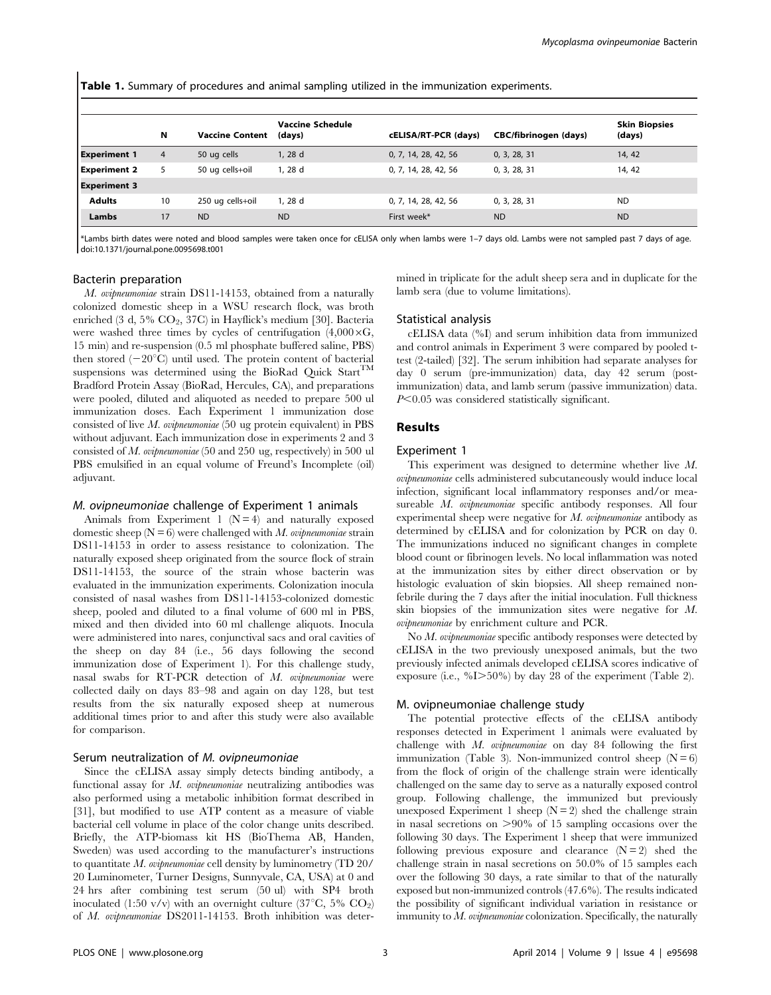Table 1. Summary of procedures and animal sampling utilized in the immunization experiments.

|                     | N  | <b>Vaccine Content</b> | <b>Vaccine Schedule</b><br>(days) | cELISA/RT-PCR (days) | CBC/fibrinogen (days) | <b>Skin Biopsies</b><br>(days) |
|---------------------|----|------------------------|-----------------------------------|----------------------|-----------------------|--------------------------------|
| <b>Experiment 1</b> | 4  | 50 ug cells            | 1, 28 d                           | 0, 7, 14, 28, 42, 56 | 0, 3, 28, 31          | 14, 42                         |
| <b>Experiment 2</b> | 5  | 50 ug cells+oil        | 1, 28 d                           | 0, 7, 14, 28, 42, 56 | 0, 3, 28, 31          | 14, 42                         |
| <b>Experiment 3</b> |    |                        |                                   |                      |                       |                                |
| <b>Adults</b>       | 10 | 250 ug cells+oil       | 1.28d                             | 0, 7, 14, 28, 42, 56 | 0, 3, 28, 31          | <b>ND</b>                      |
| Lambs               | 17 | <b>ND</b>              | <b>ND</b>                         | First week*          | <b>ND</b>             | <b>ND</b>                      |

\*Lambs birth dates were noted and blood samples were taken once for cELISA only when lambs were 1–7 days old. Lambs were not sampled past 7 days of age. doi:10.1371/journal.pone.0095698.t001

# Bacterin preparation

M. ovipneumoniae strain DS11-14153, obtained from a naturally colonized domestic sheep in a WSU research flock, was broth enriched (3 d, 5% CO<sub>2</sub>, 37C) in Hayflick's medium [30]. Bacteria were washed three times by cycles of centrifugation  $(4,000\times G,$ 15 min) and re-suspension (0.5 ml phosphate buffered saline, PBS) then stored  $(-20^{\circ}C)$  until used. The protein content of bacterial suspensions was determined using the BioRad Quick Start<sup>TM</sup> Bradford Protein Assay (BioRad, Hercules, CA), and preparations were pooled, diluted and aliquoted as needed to prepare 500 ul immunization doses. Each Experiment 1 immunization dose consisted of live  $M$ . ovipneumoniae (50 ug protein equivalent) in PBS without adjuvant. Each immunization dose in experiments 2 and 3 consisted of M. ovipneumoniae (50 and 250 ug, respectively) in 500 ul PBS emulsified in an equal volume of Freund's Incomplete (oil) adjuvant.

#### M. ovipneumoniae challenge of Experiment 1 animals

Animals from Experiment 1 ( $N = 4$ ) and naturally exposed domestic sheep  $(N = 6)$  were challenged with M. ovipneumoniae strain DS11-14153 in order to assess resistance to colonization. The naturally exposed sheep originated from the source flock of strain DS11-14153, the source of the strain whose bacterin was evaluated in the immunization experiments. Colonization inocula consisted of nasal washes from DS11-14153-colonized domestic sheep, pooled and diluted to a final volume of 600 ml in PBS, mixed and then divided into 60 ml challenge aliquots. Inocula were administered into nares, conjunctival sacs and oral cavities of the sheep on day 84 (i.e., 56 days following the second immunization dose of Experiment 1). For this challenge study, nasal swabs for RT-PCR detection of M. ovipneumoniae were collected daily on days 83–98 and again on day 128, but test results from the six naturally exposed sheep at numerous additional times prior to and after this study were also available for comparison.

#### Serum neutralization of M. ovipneumoniae

Since the cELISA assay simply detects binding antibody, a functional assay for M. ovipneumoniae neutralizing antibodies was also performed using a metabolic inhibition format described in [31], but modified to use ATP content as a measure of viable bacterial cell volume in place of the color change units described. Briefly, the ATP-biomass kit HS (BioThema AB, Handen, Sweden) was used according to the manufacturer's instructions to quantitate M. ovipneumoniae cell density by luminometry (TD 20/ 20 Luminometer, Turner Designs, Sunnyvale, CA, USA) at 0 and 24 hrs after combining test serum (50 ul) with SP4 broth inoculated (1:50 v/v) with an overnight culture (37 $\mathrm{^{\circ}C},$  5%  $\mathrm{CO}_{2}$ ) of M. ovipneumoniae DS2011-14153. Broth inhibition was determined in triplicate for the adult sheep sera and in duplicate for the lamb sera (due to volume limitations).

#### Statistical analysis

cELISA data (%I) and serum inhibition data from immunized and control animals in Experiment 3 were compared by pooled ttest (2-tailed) [32]. The serum inhibition had separate analyses for day 0 serum (pre-immunization) data, day 42 serum (postimmunization) data, and lamb serum (passive immunization) data.  $P<0.05$  was considered statistically significant.

# Results

# Experiment 1

This experiment was designed to determine whether live M. ovipneumoniae cells administered subcutaneously would induce local infection, significant local inflammatory responses and/or measureable M. ovipneumoniae specific antibody responses. All four experimental sheep were negative for  $M$ . *ovipneumoniae* antibody as determined by cELISA and for colonization by PCR on day 0. The immunizations induced no significant changes in complete blood count or fibrinogen levels. No local inflammation was noted at the immunization sites by either direct observation or by histologic evaluation of skin biopsies. All sheep remained nonfebrile during the 7 days after the initial inoculation. Full thickness skin biopsies of the immunization sites were negative for M. ovipneumoniae by enrichment culture and PCR.

No M. ovipneumoniae specific antibody responses were detected by cELISA in the two previously unexposed animals, but the two previously infected animals developed cELISA scores indicative of exposure (i.e.,  $\%I>50\%$ ) by day 28 of the experiment (Table 2).

#### M. ovipneumoniae challenge study

The potential protective effects of the cELISA antibody responses detected in Experiment 1 animals were evaluated by challenge with M. ovipneumoniae on day 84 following the first immunization (Table 3). Non-immunized control sheep  $(N = 6)$ from the flock of origin of the challenge strain were identically challenged on the same day to serve as a naturally exposed control group. Following challenge, the immunized but previously unexposed Experiment 1 sheep  $(N=2)$  shed the challenge strain in nasal secretions on  $>90\%$  of 15 sampling occasions over the following 30 days. The Experiment 1 sheep that were immunized following previous exposure and clearance  $(N = 2)$  shed the challenge strain in nasal secretions on 50.0% of 15 samples each over the following 30 days, a rate similar to that of the naturally exposed but non-immunized controls (47.6%). The results indicated the possibility of significant individual variation in resistance or immunity to  $M$ . ovipneumoniae colonization. Specifically, the naturally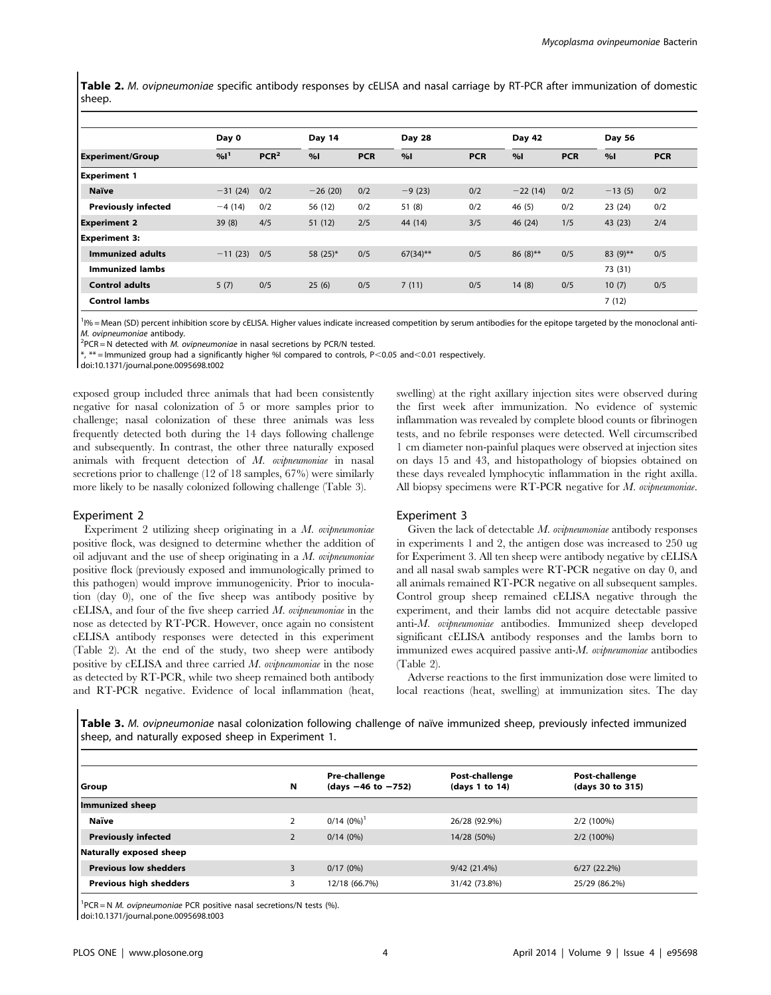Table 2. M. ovipneumoniae specific antibody responses by cELISA and nasal carriage by RT-PCR after immunization of domestic sheep.

|                            | Day 0             |                  | Day 14    |            | Day 28      |            | Day 42     |            | Day 56      |            |
|----------------------------|-------------------|------------------|-----------|------------|-------------|------------|------------|------------|-------------|------------|
| <b>Experiment/Group</b>    | $%1$ <sup>1</sup> | PCR <sup>2</sup> | %         | <b>PCR</b> | %           | <b>PCR</b> | %          | <b>PCR</b> | %           | <b>PCR</b> |
| <b>Experiment 1</b>        |                   |                  |           |            |             |            |            |            |             |            |
| <b>Naïve</b>               | $-31(24)$         | 0/2              | $-26(20)$ | 0/2        | $-9(23)$    | 0/2        | $-22(14)$  | 0/2        | $-13(5)$    | 0/2        |
| <b>Previously infected</b> | $-4(14)$          | 0/2              | 56 (12)   | 0/2        | 51(8)       | 0/2        | 46(5)      | 0/2        | 23(24)      | 0/2        |
| <b>Experiment 2</b>        | 39(8)             | 4/5              | 51(12)    | 2/5        | 44 (14)     | 3/5        | 46 (24)    | 1/5        | 43 (23)     | 2/4        |
| <b>Experiment 3:</b>       |                   |                  |           |            |             |            |            |            |             |            |
| <b>Immunized adults</b>    | $-11(23)$         | 0/5              | 58 (25)*  | 0/5        | $67(34)$ ** | 0/5        | $86(8)$ ** | 0/5        | 83 $(9)$ ** | 0/5        |
| <b>Immunized lambs</b>     |                   |                  |           |            |             |            |            |            | 73 (31)     |            |
| <b>Control adults</b>      | 5(7)              | 0/5              | 25(6)     | 0/5        | 7(11)       | 0/5        | 14(8)      | 0/5        | 10(7)       | 0/5        |
| <b>Control lambs</b>       |                   |                  |           |            |             |            |            |            | 7(12)       |            |

<sup>1</sup><sup>196</sup> = Mean (SD) percent inhibition score by cELISA. Higher values indicate increased competition by serum antibodies for the epitope targeted by the monoclonal anti-M. ovipneumoniae antibody. <sup>2</sup>

 $P^2$ PCR = N detected with *M. ovipneumoniae* in nasal secretions by PCR/N tested.

 $**$  = Immunized group had a significantly higher %I compared to controls, P<0.05 and <0.01 respectively.

doi:10.1371/journal.pone.0095698.t002

exposed group included three animals that had been consistently negative for nasal colonization of 5 or more samples prior to challenge; nasal colonization of these three animals was less frequently detected both during the 14 days following challenge and subsequently. In contrast, the other three naturally exposed animals with frequent detection of M. ovipneumoniae in nasal secretions prior to challenge (12 of 18 samples, 67%) were similarly more likely to be nasally colonized following challenge (Table 3).

# Experiment 2

Experiment 2 utilizing sheep originating in a  $M$ . ovipneumoniae positive flock, was designed to determine whether the addition of oil adjuvant and the use of sheep originating in a  $M$ . ovipneumoniae positive flock (previously exposed and immunologically primed to this pathogen) would improve immunogenicity. Prior to inoculation (day 0), one of the five sheep was antibody positive by  $cELISA$ , and four of the five sheep carried  $M$ . *ovipneumoniae* in the nose as detected by RT-PCR. However, once again no consistent cELISA antibody responses were detected in this experiment (Table 2). At the end of the study, two sheep were antibody positive by cELISA and three carried M. ovipneumoniae in the nose as detected by RT-PCR, while two sheep remained both antibody and RT-PCR negative. Evidence of local inflammation (heat, swelling) at the right axillary injection sites were observed during the first week after immunization. No evidence of systemic inflammation was revealed by complete blood counts or fibrinogen tests, and no febrile responses were detected. Well circumscribed 1 cm diameter non-painful plaques were observed at injection sites on days 15 and 43, and histopathology of biopsies obtained on these days revealed lymphocytic inflammation in the right axilla. All biopsy specimens were RT-PCR negative for M. ovipneumoniae.

#### Experiment 3

Given the lack of detectable M. ovipneumoniae antibody responses in experiments 1 and 2, the antigen dose was increased to 250 ug for Experiment 3. All ten sheep were antibody negative by cELISA and all nasal swab samples were RT-PCR negative on day 0, and all animals remained RT-PCR negative on all subsequent samples. Control group sheep remained cELISA negative through the experiment, and their lambs did not acquire detectable passive anti-M. ovipneumoniae antibodies. Immunized sheep developed significant cELISA antibody responses and the lambs born to immunized ewes acquired passive anti-M. ovipneumoniae antibodies (Table 2).

Adverse reactions to the first immunization dose were limited to local reactions (heat, swelling) at immunization sites. The day

Table 3. M. ovipneumoniae nasal colonization following challenge of naïve immunized sheep, previously infected immunized sheep, and naturally exposed sheep in Experiment 1.

| Group                         | N              | Pre-challenge<br>(days $-46$ to $-752$ ) | Post-challenge<br>(days 1 to 14) | Post-challenge<br>(days 30 to 315) |
|-------------------------------|----------------|------------------------------------------|----------------------------------|------------------------------------|
| Immunized sheep               |                |                                          |                                  |                                    |
| <b>Naïve</b>                  |                | $0/14$ $(0\%)$ <sup>1</sup>              | 26/28 (92.9%)                    | 2/2 (100%)                         |
| <b>Previously infected</b>    | $\overline{2}$ | $0/14(0\%)$                              | 14/28 (50%)                      | $2/2(100\%)$                       |
| Naturally exposed sheep       |                |                                          |                                  |                                    |
| <b>Previous low shedders</b>  |                | $0/17(0\%)$                              | 9/42 (21.4%)                     | $6/27$ $(22.2\%)$                  |
| <b>Previous high shedders</b> |                | 12/18 (66.7%)                            | 31/42 (73.8%)                    | 25/29 (86.2%)                      |
|                               |                |                                          |                                  |                                    |

 $1$ PCR = N *M. ovipneumoniae* PCR positive nasal secretions/N tests (%).

doi:10.1371/journal.pone.0095698.t003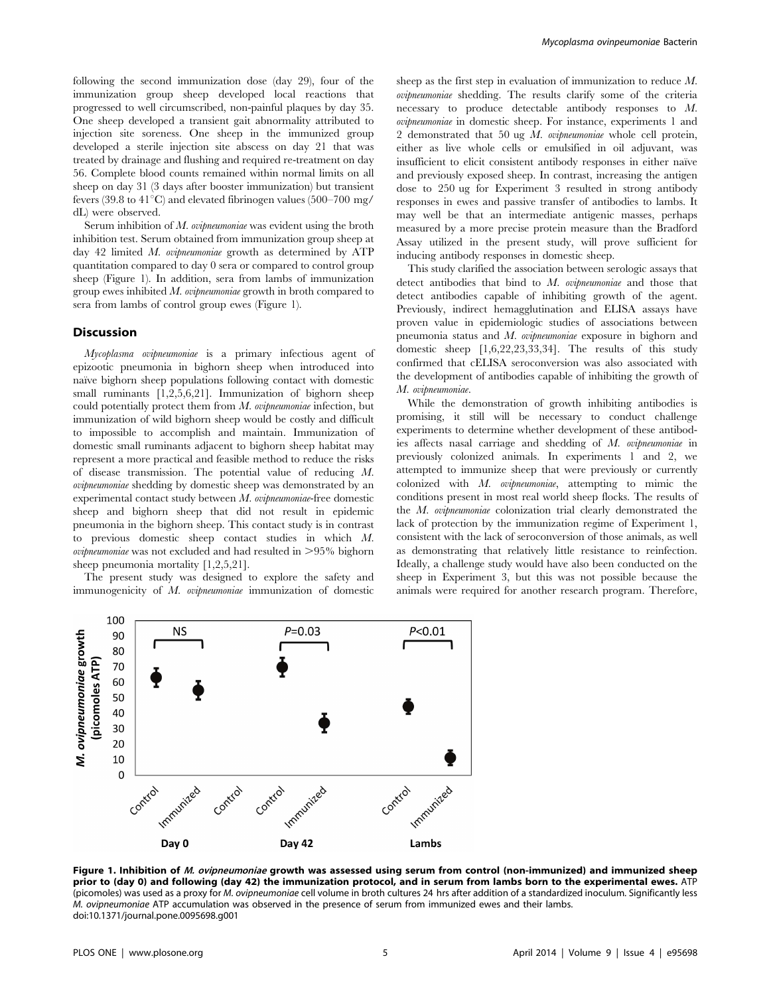following the second immunization dose (day 29), four of the immunization group sheep developed local reactions that progressed to well circumscribed, non-painful plaques by day 35. One sheep developed a transient gait abnormality attributed to injection site soreness. One sheep in the immunized group developed a sterile injection site abscess on day 21 that was treated by drainage and flushing and required re-treatment on day 56. Complete blood counts remained within normal limits on all sheep on day 31 (3 days after booster immunization) but transient fevers (39.8 to  $41^{\circ}$ C) and elevated fibrinogen values (500–700 mg/ dL) were observed.

Serum inhibition of M. *ovipneumoniae* was evident using the broth inhibition test. Serum obtained from immunization group sheep at day 42 limited M. *ovipneumoniae* growth as determined by ATP quantitation compared to day 0 sera or compared to control group sheep (Figure 1). In addition, sera from lambs of immunization group ewes inhibited M. ovipneumoniae growth in broth compared to sera from lambs of control group ewes (Figure 1).

# **Discussion**

Mycoplasma ovipneumoniae is a primary infectious agent of epizootic pneumonia in bighorn sheep when introduced into naïve bighorn sheep populations following contact with domestic small ruminants [1,2,5,6,21]. Immunization of bighorn sheep could potentially protect them from  $M$ , *ovipneumoniae* infection, but immunization of wild bighorn sheep would be costly and difficult to impossible to accomplish and maintain. Immunization of domestic small ruminants adjacent to bighorn sheep habitat may represent a more practical and feasible method to reduce the risks of disease transmission. The potential value of reducing M. ovipneumoniae shedding by domestic sheep was demonstrated by an experimental contact study between M. ovipneumoniae-free domestic sheep and bighorn sheep that did not result in epidemic pneumonia in the bighorn sheep. This contact study is in contrast to previous domestic sheep contact studies in which M. *ovipneumoniae* was not excluded and had resulted in  $>95\%$  bighorn sheep pneumonia mortality [1,2,5,21].

The present study was designed to explore the safety and immunogenicity of M. ovipneumoniae immunization of domestic

sheep as the first step in evaluation of immunization to reduce M. ovipneumoniae shedding. The results clarify some of the criteria necessary to produce detectable antibody responses to M. ovipneumoniae in domestic sheep. For instance, experiments 1 and 2 demonstrated that 50 ug M. ovipneumoniae whole cell protein, either as live whole cells or emulsified in oil adjuvant, was insufficient to elicit consistent antibody responses in either naïve and previously exposed sheep. In contrast, increasing the antigen dose to 250 ug for Experiment 3 resulted in strong antibody responses in ewes and passive transfer of antibodies to lambs. It may well be that an intermediate antigenic masses, perhaps measured by a more precise protein measure than the Bradford Assay utilized in the present study, will prove sufficient for inducing antibody responses in domestic sheep.

This study clarified the association between serologic assays that detect antibodies that bind to M. ovipneumoniae and those that detect antibodies capable of inhibiting growth of the agent. Previously, indirect hemagglutination and ELISA assays have proven value in epidemiologic studies of associations between pneumonia status and M. ovipneumoniae exposure in bighorn and domestic sheep [1,6,22,23,33,34]. The results of this study confirmed that cELISA seroconversion was also associated with the development of antibodies capable of inhibiting the growth of M. ovipneumoniae.

While the demonstration of growth inhibiting antibodies is promising, it still will be necessary to conduct challenge experiments to determine whether development of these antibodies affects nasal carriage and shedding of M. ovipneumoniae in previously colonized animals. In experiments 1 and 2, we attempted to immunize sheep that were previously or currently colonized with M. ovipneumoniae, attempting to mimic the conditions present in most real world sheep flocks. The results of the M. ovipneumoniae colonization trial clearly demonstrated the lack of protection by the immunization regime of Experiment 1, consistent with the lack of seroconversion of those animals, as well as demonstrating that relatively little resistance to reinfection. Ideally, a challenge study would have also been conducted on the sheep in Experiment 3, but this was not possible because the animals were required for another research program. Therefore,



Figure 1. Inhibition of M. ovipneumoniae growth was assessed using serum from control (non-immunized) and immunized sheep prior to (day 0) and following (day 42) the immunization protocol, and in serum from lambs born to the experimental ewes. ATP (picomoles) was used as a proxy for M. ovipneumoniae cell volume in broth cultures 24 hrs after addition of a standardized inoculum. Significantly less M. ovipneumoniae ATP accumulation was observed in the presence of serum from immunized ewes and their lambs. doi:10.1371/journal.pone.0095698.g001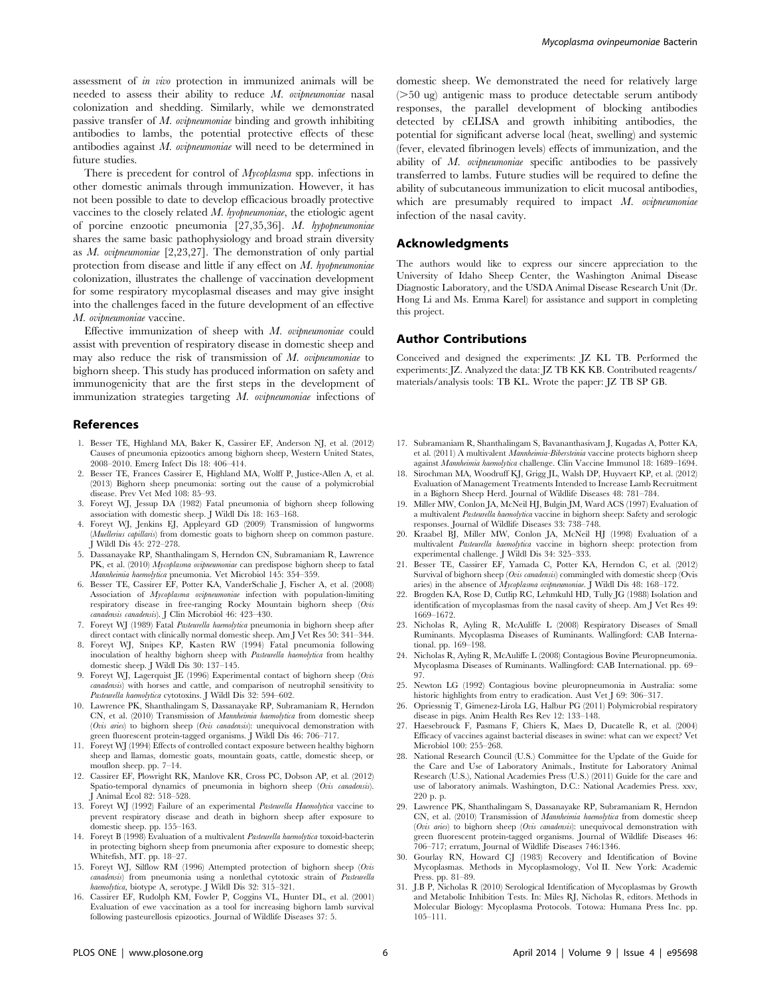assessment of in vivo protection in immunized animals will be needed to assess their ability to reduce  $M$ . ovipneumoniae nasal colonization and shedding. Similarly, while we demonstrated passive transfer of M. ovipneumoniae binding and growth inhibiting antibodies to lambs, the potential protective effects of these antibodies against M. ovipneumoniae will need to be determined in future studies.

There is precedent for control of *Mycoplasma* spp. infections in other domestic animals through immunization. However, it has not been possible to date to develop efficacious broadly protective vaccines to the closely related M. hyopneumoniae, the etiologic agent of porcine enzootic pneumonia [27,35,36]. M. hypopneumoniae shares the same basic pathophysiology and broad strain diversity as M. ovipneumoniae [2,23,27]. The demonstration of only partial protection from disease and little if any effect on  $M$ , hyopneumoniae colonization, illustrates the challenge of vaccination development for some respiratory mycoplasmal diseases and may give insight into the challenges faced in the future development of an effective M. ovipneumoniae vaccine.

Effective immunization of sheep with M. ovipneumoniae could assist with prevention of respiratory disease in domestic sheep and may also reduce the risk of transmission of  $M$ . ovipneumoniae to bighorn sheep. This study has produced information on safety and immunogenicity that are the first steps in the development of immunization strategies targeting M. ovipneumoniae infections of

#### References

- 1. Besser TE, Highland MA, Baker K, Cassirer EF, Anderson NJ, et al. (2012) Causes of pneumonia epizootics among bighorn sheep, Western United States, 2008–2010. Emerg Infect Dis 18: 406–414.
- 2. Besser TE, Frances Cassirer E, Highland MA, Wolff P, Justice-Allen A, et al. (2013) Bighorn sheep pneumonia: sorting out the cause of a polymicrobial disease. Prev Vet Med 108: 85–93.
- 3. Foreyt WJ, Jessup DA (1982) Fatal pneumonia of bighorn sheep following association with domestic sheep. J Wildl Dis 18: 163–168.
- 4. Foreyt WJ, Jenkins EJ, Appleyard GD (2009) Transmission of lungworms (Muellerius capillaris) from domestic goats to bighorn sheep on common pasture. J Wildl Dis 45: 272–278.
- 5. Dassanayake RP, Shanthalingam S, Herndon CN, Subramaniam R, Lawrence PK, et al. (2010) Mycoplasma ovipneumoniae can predispose bighorn sheep to fatal Mannheimia haemolytica pneumonia. Vet Microbiol 145: 354–359.
- 6. Besser TE, Cassirer EF, Potter KA, VanderSchalie J, Fischer A, et al. (2008) Association of Mycoplasma ovipneumoniae infection with population-limiting respiratory disease in free-ranging Rocky Mountain bighorn sheep (Ovis canadensis canadensis). J Clin Microbiol 46: 423–430.
- 7. Foreyt WJ (1989) Fatal Pasteurella haemolytica pneumonia in bighorn sheep after direct contact with clinically normal domestic sheep. Am J Vet Res 50: 341–344.
- 8. Foreyt WJ, Snipes KP, Kasten RW (1994) Fatal pneumonia following inoculation of healthy bighorn sheep with Pasteurella haemolytica from healthy domestic sheep. J Wildl Dis 30: 137–145.
- 9. Foreyt WJ, Lagerquist JE (1996) Experimental contact of bighorn sheep (Ovis canadensis) with horses and cattle, and comparison of neutrophil sensitivity to Pasteurella haemolytica cytotoxins. J Wildl Dis 32: 594–602.
- 10. Lawrence PK, Shanthalingam S, Dassanayake RP, Subramaniam R, Herndon CN, et al. (2010) Transmission of Mannheimia haemolytica from domestic sheep (Ovis aries) to bighorn sheep (Ovis canadensis): unequivocal demonstration with green fluorescent protein-tagged organisms. J Wildl Dis 46: 706–717.
- 11. Foreyt WJ (1994) Effects of controlled contact exposure between healthy bighorn sheep and llamas, domestic goats, mountain goats, cattle, domestic sheep, or mouflon sheep. pp. 7–14.
- 12. Cassirer EF, Plowright RK, Manlove KR, Cross PC, Dobson AP, et al. (2012) Spatio-temporal dynamics of pneumonia in bighorn sheep (Ovis canadensis). J Animal Ecol 82: 518–528.
- 13. Foreyt WJ (1992) Failure of an experimental Pasteurella Haemolytica vaccine to prevent respiratory disease and death in bighorn sheep after exposure to domestic sheep. pp. 155–163.
- 14. Foreyt B (1998) Evaluation of a multivalent *Pasteurella haemolytica* toxoid-bacterin in protecting bighorn sheep from pneumonia after exposure to domestic sheep; Whitefish, MT. pp. 18–27.
- 15. Foreyt WJ, Silflow RM (1996) Attempted protection of bighorn sheep (Ovis canadensis) from pneumonia using a nonlethal cytotoxic strain of Pasteurella haemolytica, biotype A, serotype. J Wildl Dis 32: 315–321.
- 16. Cassirer EF, Rudolph KM, Fowler P, Coggins VL, Hunter DL, et al. (2001) Evaluation of ewe vaccination as a tool for increasing bighorn lamb survival following pasteurellosis epizootics. Journal of Wildlife Diseases 37: 5.

domestic sheep. We demonstrated the need for relatively large  $($ >50 ug) antigenic mass to produce detectable serum antibody responses, the parallel development of blocking antibodies detected by cELISA and growth inhibiting antibodies, the potential for significant adverse local (heat, swelling) and systemic (fever, elevated fibrinogen levels) effects of immunization, and the ability of M. ovipneumoniae specific antibodies to be passively transferred to lambs. Future studies will be required to define the ability of subcutaneous immunization to elicit mucosal antibodies, which are presumably required to impact  $M$ , *ovipneumoniae* infection of the nasal cavity.

#### Acknowledgments

The authors would like to express our sincere appreciation to the University of Idaho Sheep Center, the Washington Animal Disease Diagnostic Laboratory, and the USDA Animal Disease Research Unit (Dr. Hong Li and Ms. Emma Karel) for assistance and support in completing this project.

# Author Contributions

Conceived and designed the experiments: JZ KL TB. Performed the experiments: JZ. Analyzed the data: JZ TB KK KB. Contributed reagents/ materials/analysis tools: TB KL. Wrote the paper: JZ TB SP GB.

- 17. Subramaniam R, Shanthalingam S, Bavananthasivam J, Kugadas A, Potter KA, et al. (2011) A multivalent Mannheimia-Bibersteinia vaccine protects bighorn sheep against Mannheimia haemolytica challenge. Clin Vaccine Immunol 18: 1689–1694.
- 18. Sirochman MA, Woodruff KJ, Grigg JL, Walsh DP, Huyvaert KP, et al. (2012) Evaluation of Management Treatments Intended to Increase Lamb Recruitment in a Bighorn Sheep Herd. Journal of Wildlife Diseases 48: 781–784.
- 19. Miller MW, Conlon JA, McNeil HJ, Bulgin JM, Ward ACS (1997) Evaluation of a multivalent Pasteurella haemolytica vaccine in bighorn sheep: Safety and serologic responses. Journal of Wildlife Diseases 33: 738–748.
- 20. Kraabel BJ, Miller MW, Conlon JA, McNeil HJ (1998) Evaluation of a multivalent Pasteurella haemolytica vaccine in bighorn sheep: protection from experimental challenge. J Wildl Dis 34: 325–333.
- 21. Besser TE, Cassirer EF, Yamada C, Potter KA, Herndon C, et al. (2012) Survival of bighorn sheep (*Ovis canadensis*) commingled with domestic sheep (*Ovis* aries) in the absence of Mycoplasma ovipneumoniae. J Wildl Dis 48: 168–172.
- 22. Brogden KA, Rose D, Cutlip RC, Lehmkuhl HD, Tully JG (1988) Isolation and identification of mycoplasmas from the nasal cavity of sheep. Am J Vet Res 49: 1669–1672.
- 23. Nicholas R, Ayling R, McAuliffe L (2008) Respiratory Diseases of Small Ruminants. Mycoplasma Diseases of Ruminants. Wallingford: CAB International. pp. 169–198.
- 24. Nicholas R, Ayling R, McAuliffe L (2008) Contagious Bovine Pleuropneumonia. Mycoplasma Diseases of Ruminants. Wallingford: CAB International. pp. 69– 97.
- 25. Newton LG (1992) Contagious bovine pleuropneumonia in Australia: some historic highlights from entry to eradication. Aust Vet J 69: 306–317.
- 26. Opriessnig T, Gimenez-Lirola LG, Halbur PG (2011) Polymicrobial respiratory disease in pigs. Anim Health Res Rev 12: 133–148.
- 27. Haesebrouck F, Pasmans F, Chiers K, Maes D, Ducatelle R, et al. (2004) Efficacy of vaccines against bacterial diseases in swine: what can we expect? Vet Microbiol 100: 255–268.
- 28. National Research Council (U.S.) Committee for the Update of the Guide for the Care and Use of Laboratory Animals., Institute for Laboratory Animal Research (U.S.), National Academies Press (U.S.) (2011) Guide for the care and use of laboratory animals. Washington, D.C.: National Academies Press. xxv, 220 p. p.
- 29. Lawrence PK, Shanthalingam S, Dassanayake RP, Subramaniam R, Herndon CN, et al. (2010) Transmission of *Mannheimia haemolytica* from domestic sheep (Ovis aries) to bighorn sheep (Ovis canadensis): unequivocal demonstration with green fluorescent protein-tagged organisms. Journal of Wildlife Diseases 46: 706–717; erratum, Journal of Wildlife Diseases 746:1346.
- 30. Gourlay RN, Howard CJ (1983) Recovery and Identification of Bovine Mycoplasmas. Methods in Mycoplasmology, Vol II. New York: Academic Press. pp. 81–89.
- 31. J.B P, Nicholas R (2010) Serological Identification of Mycoplasmas by Growth and Metabolic Inhibition Tests. In: Miles RJ, Nicholas R, editors. Methods in Molecular Biology: Mycoplasma Protocols. Totowa: Humana Press Inc. pp. 105–111.